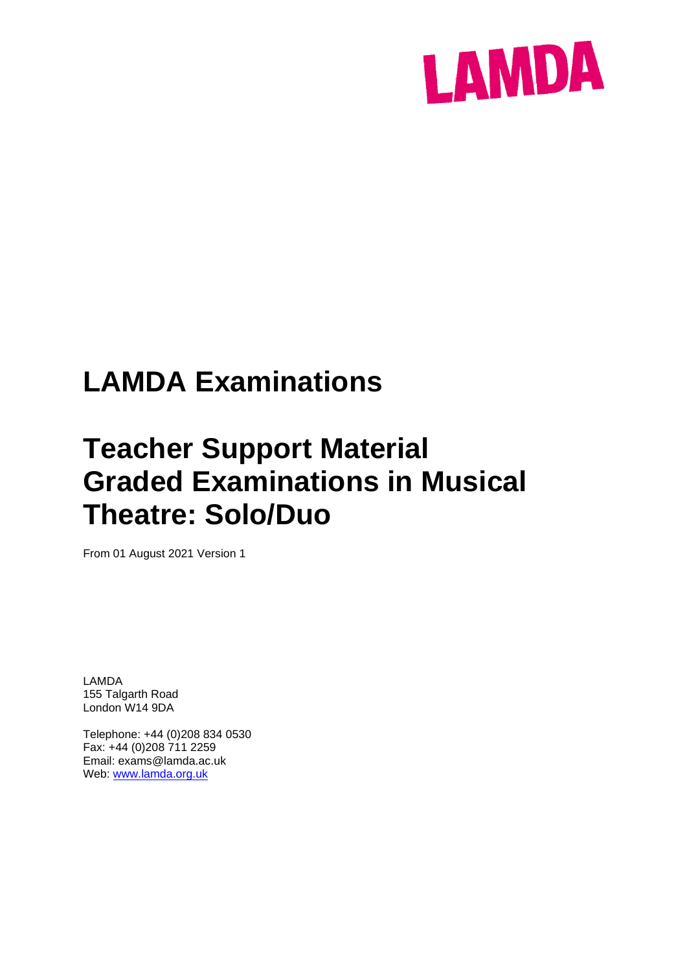

# **LAMDA Examinations**

# **Teacher Support Material Graded Examinations in Musical Theatre: Solo/Duo**

From 01 August 2021 Version 1

LAMDA 155 Talgarth Road London W14 9DA

Telephone: +44 (0)208 834 0530 Fax: +44 (0)208 711 2259 Email: exams@lamda.ac.uk Web: [www.lamda.org.uk](http://www.lamda.org.uk/)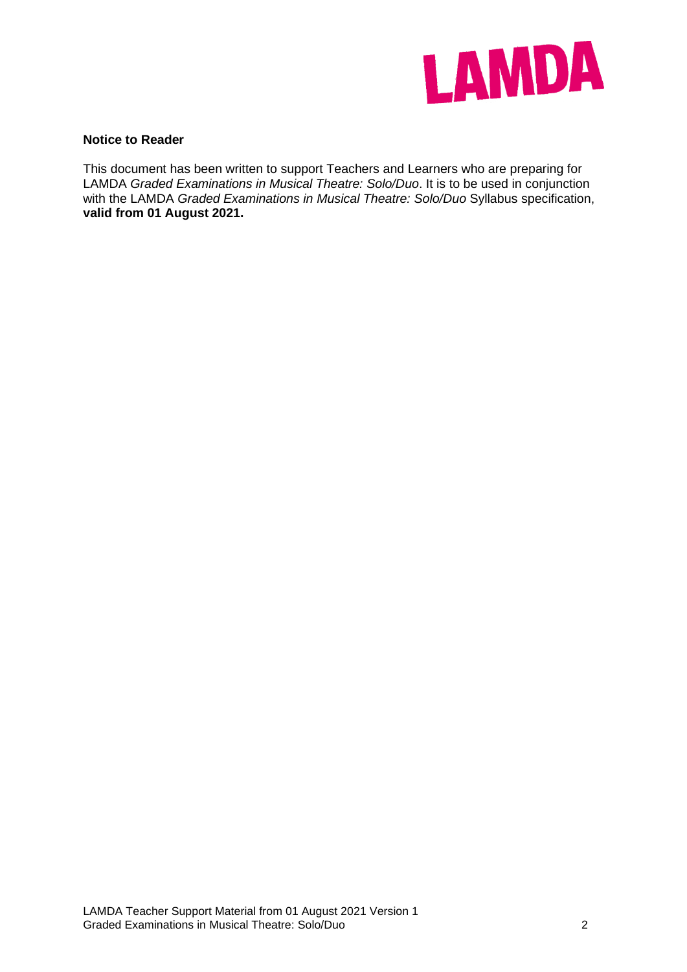

## **Notice to Reader**

This document has been written to support Teachers and Learners who are preparing for LAMDA *Graded Examinations in Musical Theatre: Solo/Duo*. It is to be used in conjunction with the LAMDA *Graded Examinations in Musical Theatre: Solo/Duo* Syllabus specification, **valid from 01 August 2021.**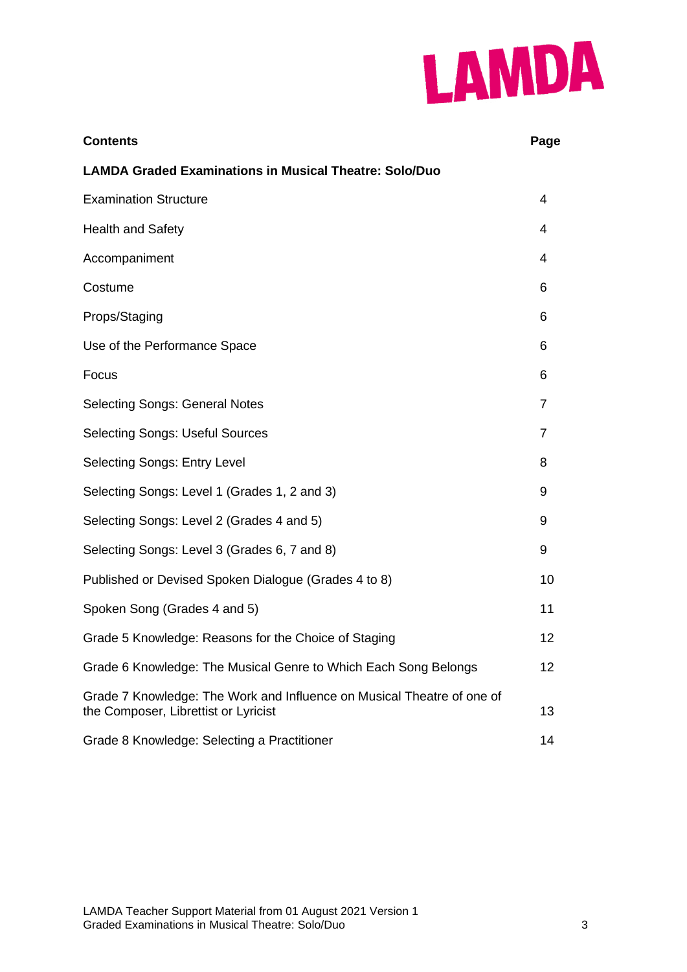

| <b>Contents</b>                                                                                                | Page           |
|----------------------------------------------------------------------------------------------------------------|----------------|
| <b>LAMDA Graded Examinations in Musical Theatre: Solo/Duo</b>                                                  |                |
| <b>Examination Structure</b>                                                                                   | 4              |
| <b>Health and Safety</b>                                                                                       | 4              |
| Accompaniment                                                                                                  | 4              |
| Costume                                                                                                        | 6              |
| Props/Staging                                                                                                  | 6              |
| Use of the Performance Space                                                                                   | 6              |
| Focus                                                                                                          | 6              |
| <b>Selecting Songs: General Notes</b>                                                                          | $\overline{7}$ |
| <b>Selecting Songs: Useful Sources</b>                                                                         | 7              |
| <b>Selecting Songs: Entry Level</b>                                                                            | 8              |
| Selecting Songs: Level 1 (Grades 1, 2 and 3)                                                                   | 9              |
| Selecting Songs: Level 2 (Grades 4 and 5)                                                                      | 9              |
| Selecting Songs: Level 3 (Grades 6, 7 and 8)                                                                   | 9              |
| Published or Devised Spoken Dialogue (Grades 4 to 8)                                                           | 10             |
| Spoken Song (Grades 4 and 5)                                                                                   | 11             |
| Grade 5 Knowledge: Reasons for the Choice of Staging                                                           | 12             |
| Grade 6 Knowledge: The Musical Genre to Which Each Song Belongs                                                | 12             |
| Grade 7 Knowledge: The Work and Influence on Musical Theatre of one of<br>the Composer, Librettist or Lyricist | 13             |
| Grade 8 Knowledge: Selecting a Practitioner                                                                    | 14             |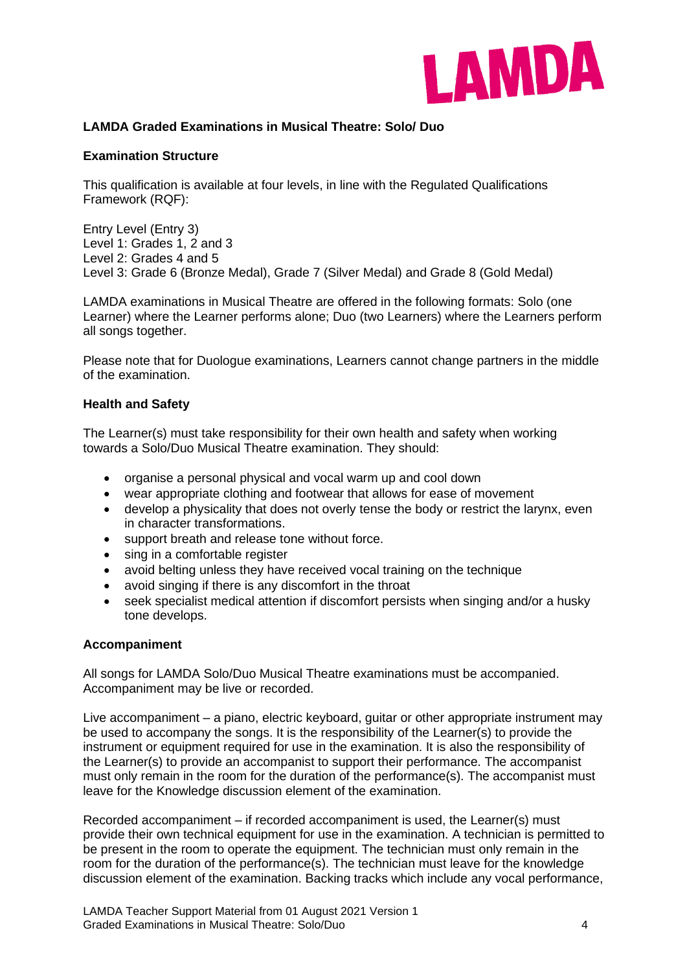

# **LAMDA Graded Examinations in Musical Theatre: Solo/ Duo**

# **Examination Structure**

This qualification is available at four levels, in line with the Regulated Qualifications Framework (RQF):

Entry Level (Entry 3) Level 1: Grades 1, 2 and 3 Level 2: Grades 4 and 5 Level 3: Grade 6 (Bronze Medal), Grade 7 (Silver Medal) and Grade 8 (Gold Medal)

LAMDA examinations in Musical Theatre are offered in the following formats: Solo (one Learner) where the Learner performs alone; Duo (two Learners) where the Learners perform all songs together.

Please note that for Duologue examinations, Learners cannot change partners in the middle of the examination.

# **Health and Safety**

The Learner(s) must take responsibility for their own health and safety when working towards a Solo/Duo Musical Theatre examination. They should:

- organise a personal physical and vocal warm up and cool down
- wear appropriate clothing and footwear that allows for ease of movement
- develop a physicality that does not overly tense the body or restrict the larynx, even in character transformations.
- support breath and release tone without force.
- sing in a comfortable register
- avoid belting unless they have received vocal training on the technique
- avoid singing if there is any discomfort in the throat
- seek specialist medical attention if discomfort persists when singing and/or a husky tone develops.

#### **Accompaniment**

All songs for LAMDA Solo/Duo Musical Theatre examinations must be accompanied. Accompaniment may be live or recorded.

Live accompaniment – a piano, electric keyboard, guitar or other appropriate instrument may be used to accompany the songs. It is the responsibility of the Learner(s) to provide the instrument or equipment required for use in the examination. It is also the responsibility of the Learner(s) to provide an accompanist to support their performance. The accompanist must only remain in the room for the duration of the performance(s). The accompanist must leave for the Knowledge discussion element of the examination.

Recorded accompaniment – if recorded accompaniment is used, the Learner(s) must provide their own technical equipment for use in the examination. A technician is permitted to be present in the room to operate the equipment. The technician must only remain in the room for the duration of the performance(s). The technician must leave for the knowledge discussion element of the examination. Backing tracks which include any vocal performance,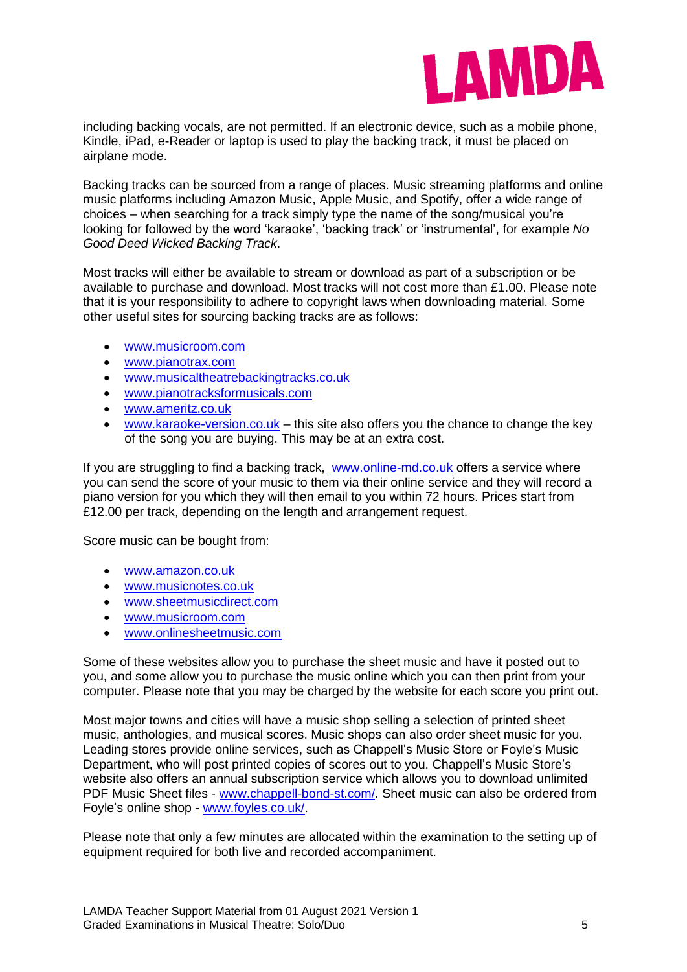

including backing vocals, are not permitted. If an electronic device, such as a mobile phone, Kindle, iPad, e-Reader or laptop is used to play the backing track, it must be placed on airplane mode.

Backing tracks can be sourced from a range of places. Music streaming platforms and online music platforms including Amazon Music, Apple Music, and Spotify, offer a wide range of choices – when searching for a track simply type the name of the song/musical you're looking for followed by the word 'karaoke', 'backing track' or 'instrumental', for example *No Good Deed Wicked Backing Track*.

Most tracks will either be available to stream or download as part of a subscription or be available to purchase and download. Most tracks will not cost more than £1.00. Please note that it is your responsibility to adhere to copyright laws when downloading material. Some other useful sites for sourcing backing tracks are as follows:

- [www.musicroom.com](http://www.musicroom.com/)
- [www.pianotrax.com](http://www.pianotrax.com/)
- [www.musicaltheatrebackingtracks.co.uk](http://www.musicaltheatrebackingtracks.co.uk/)
- [www.pianotracksformusicals.com](http://www.pianotracksformusicals.com/)
- [www.ameritz.co.uk](http://www.ameritz.co.uk/)
- [www.karaoke-version.co.uk](http://www.karaoke-version.co.uk/) this site also offers you the chance to change the key of the song you are buying. This may be at an extra cost.

If you are struggling to find a backing track, www.online-md.co.uk offers a service where you can send the score of your music to them via their online service and they will record a piano version for you which they will then email to you within 72 hours. Prices start from £12.00 per track, depending on the length and arrangement request.

Score music can be bought from:

- [www.amazon.co.uk](http://www.amazon.co.uk/)
- [www.musicnotes.co.uk](http://www.musicnotes.co.uk/)
- [www.sheetmusicdirect.com](http://www.sheetmusicdirect.com/)
- [www.musicroom.com](http://www.musicroom.com/)
- [www.onlinesheetmusic.com](http://www.onlinesheetmusic.com/)

Some of these websites allow you to purchase the sheet music and have it posted out to you, and some allow you to purchase the music online which you can then print from your computer. Please note that you may be charged by the website for each score you print out.

Most major towns and cities will have a music shop selling a selection of printed sheet music, anthologies, and musical scores. Music shops can also order sheet music for you. Leading stores provide online services, such as Chappell's Music Store or Foyle's Music Department, who will post printed copies of scores out to you. Chappell's Music Store's website also offers an annual subscription service which allows you to download unlimited PDF Music Sheet files - [www.chappell-bond-st.com/.](http://www.chappell-bond-st.com/) Sheet music can also be ordered from Foyle's online shop - [www.foyles.co.uk/.](http://www.foyles.co.uk/)

Please note that only a few minutes are allocated within the examination to the setting up of equipment required for both live and recorded accompaniment.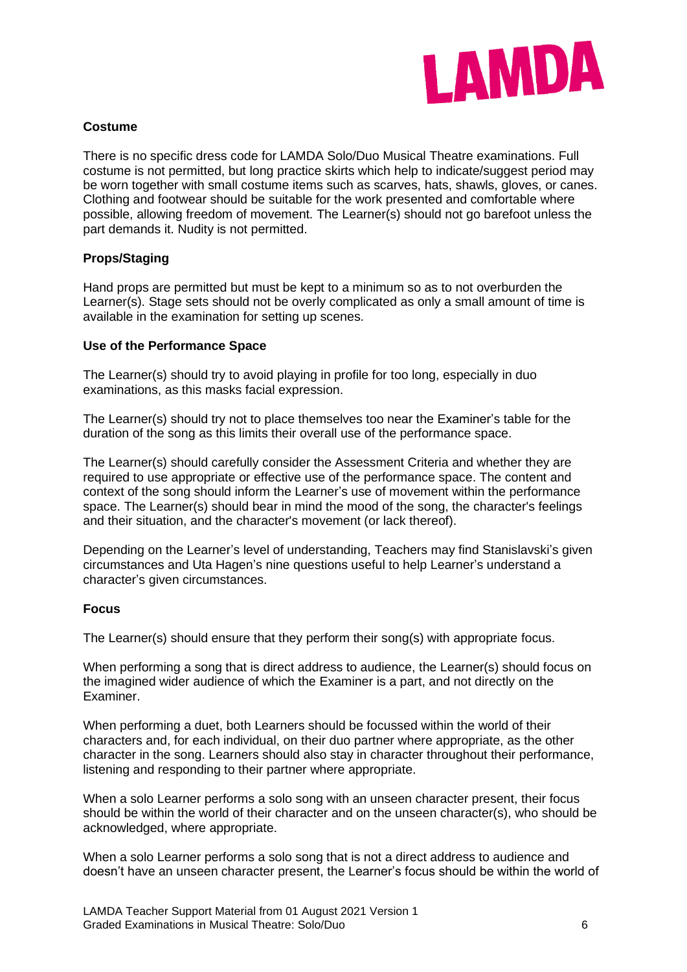

# **Costume**

There is no specific dress code for LAMDA Solo/Duo Musical Theatre examinations. Full costume is not permitted, but long practice skirts which help to indicate/suggest period may be worn together with small costume items such as scarves, hats, shawls, gloves, or canes. Clothing and footwear should be suitable for the work presented and comfortable where possible, allowing freedom of movement. The Learner(s) should not go barefoot unless the part demands it. Nudity is not permitted.

# **Props/Staging**

Hand props are permitted but must be kept to a minimum so as to not overburden the Learner(s). Stage sets should not be overly complicated as only a small amount of time is available in the examination for setting up scenes.

#### **Use of the Performance Space**

The Learner(s) should try to avoid playing in profile for too long, especially in duo examinations, as this masks facial expression.

The Learner(s) should try not to place themselves too near the Examiner's table for the duration of the song as this limits their overall use of the performance space.

The Learner(s) should carefully consider the Assessment Criteria and whether they are required to use appropriate or effective use of the performance space. The content and context of the song should inform the Learner's use of movement within the performance space. The Learner(s) should bear in mind the mood of the song, the character's feelings and their situation, and the character's movement (or lack thereof).

Depending on the Learner's level of understanding, Teachers may find Stanislavski's given circumstances and Uta Hagen's nine questions useful to help Learner's understand a character's given circumstances.

#### **Focus**

The Learner(s) should ensure that they perform their song(s) with appropriate focus.

When performing a song that is direct address to audience, the Learner(s) should focus on the imagined wider audience of which the Examiner is a part, and not directly on the Examiner.

When performing a duet, both Learners should be focussed within the world of their characters and, for each individual, on their duo partner where appropriate, as the other character in the song. Learners should also stay in character throughout their performance, listening and responding to their partner where appropriate.

When a solo Learner performs a solo song with an unseen character present, their focus should be within the world of their character and on the unseen character(s), who should be acknowledged, where appropriate.

When a solo Learner performs a solo song that is not a direct address to audience and doesn't have an unseen character present, the Learner's focus should be within the world of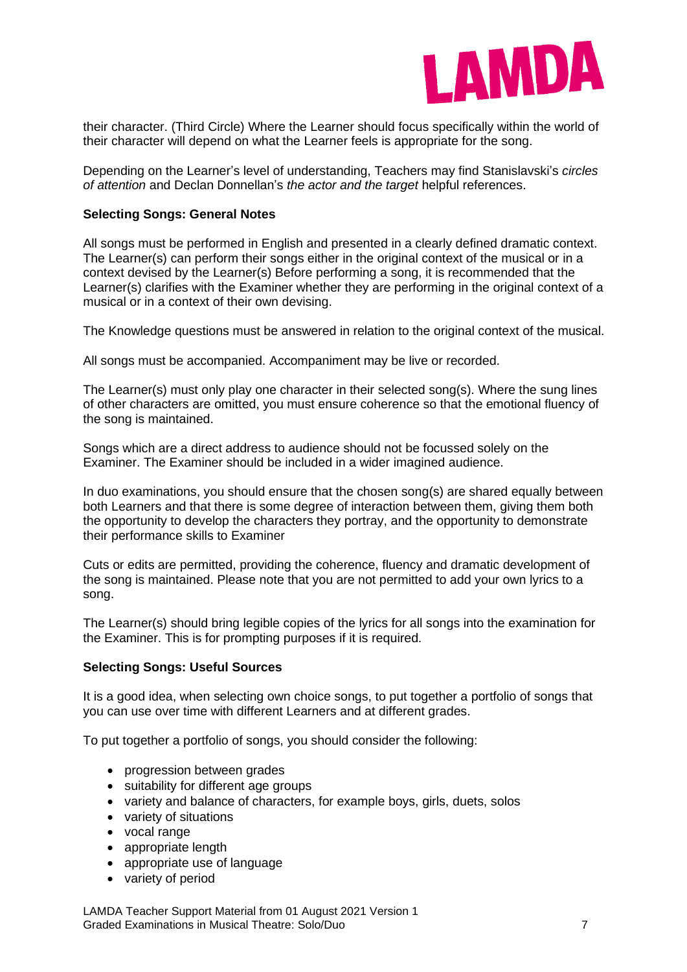

their character. (Third Circle) Where the Learner should focus specifically within the world of their character will depend on what the Learner feels is appropriate for the song.

Depending on the Learner's level of understanding, Teachers may find Stanislavski's *circles of attention* and Declan Donnellan's *the actor and the target* helpful references.

## **Selecting Songs: General Notes**

All songs must be performed in English and presented in a clearly defined dramatic context. The Learner(s) can perform their songs either in the original context of the musical or in a context devised by the Learner(s) Before performing a song, it is recommended that the Learner(s) clarifies with the Examiner whether they are performing in the original context of a musical or in a context of their own devising.

The Knowledge questions must be answered in relation to the original context of the musical.

All songs must be accompanied. Accompaniment may be live or recorded.

The Learner(s) must only play one character in their selected song(s). Where the sung lines of other characters are omitted, you must ensure coherence so that the emotional fluency of the song is maintained.

Songs which are a direct address to audience should not be focussed solely on the Examiner. The Examiner should be included in a wider imagined audience.

In duo examinations, you should ensure that the chosen song(s) are shared equally between both Learners and that there is some degree of interaction between them, giving them both the opportunity to develop the characters they portray, and the opportunity to demonstrate their performance skills to Examiner

Cuts or edits are permitted, providing the coherence, fluency and dramatic development of the song is maintained. Please note that you are not permitted to add your own lyrics to a song.

The Learner(s) should bring legible copies of the lyrics for all songs into the examination for the Examiner. This is for prompting purposes if it is required.

## **Selecting Songs: Useful Sources**

It is a good idea, when selecting own choice songs, to put together a portfolio of songs that you can use over time with different Learners and at different grades.

To put together a portfolio of songs, you should consider the following:

- progression between grades
- suitability for different age groups
- variety and balance of characters, for example boys, girls, duets, solos
- variety of situations
- vocal range
- appropriate length
- appropriate use of language
- variety of period

LAMDA Teacher Support Material from 01 August 2021 Version 1 Graded Examinations in Musical Theatre: Solo/Duo 7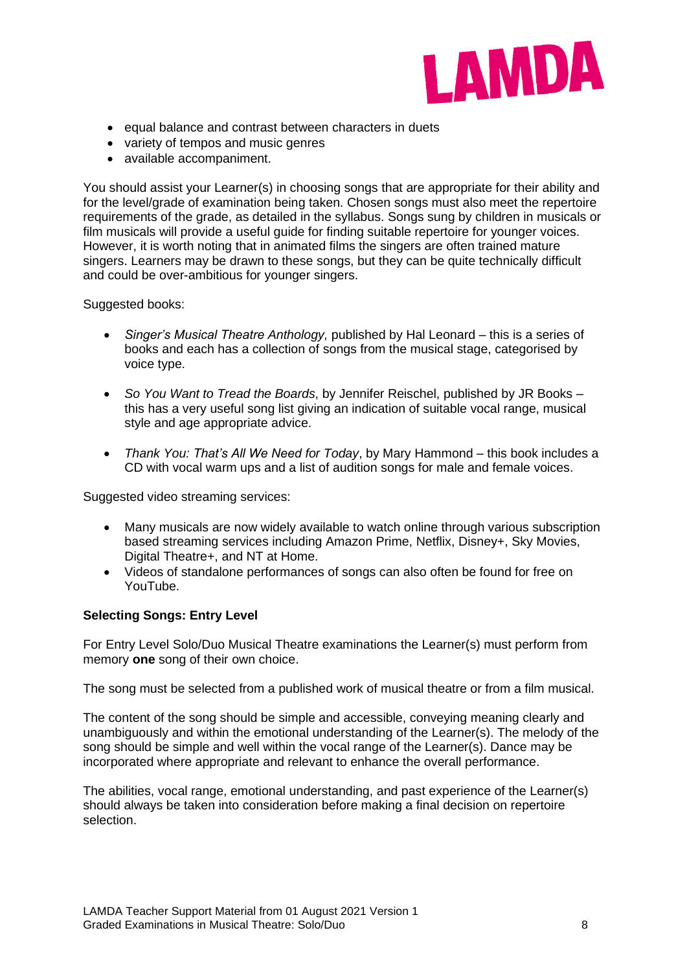

- equal balance and contrast between characters in duets
- variety of tempos and music genres
- available accompaniment.

You should assist your Learner(s) in choosing songs that are appropriate for their ability and for the level/grade of examination being taken. Chosen songs must also meet the repertoire requirements of the grade, as detailed in the syllabus. Songs sung by children in musicals or film musicals will provide a useful guide for finding suitable repertoire for younger voices. However, it is worth noting that in animated films the singers are often trained mature singers. Learners may be drawn to these songs, but they can be quite technically difficult and could be over-ambitious for younger singers.

# Suggested books:

- *Singer's Musical Theatre Anthology,* published by Hal Leonard this is a series of books and each has a collection of songs from the musical stage, categorised by voice type.
- *So You Want to Tread the Boards*, by Jennifer Reischel, published by JR Books this has a very useful song list giving an indication of suitable vocal range, musical style and age appropriate advice.
- *Thank You: That's All We Need for Today*, by Mary Hammond this book includes a CD with vocal warm ups and a list of audition songs for male and female voices.

Suggested video streaming services:

- Many musicals are now widely available to watch online through various subscription based streaming services including Amazon Prime, Netflix, Disney+, Sky Movies, Digital Theatre+, and NT at Home.
- Videos of standalone performances of songs can also often be found for free on YouTube.

# **Selecting Songs: Entry Level**

For Entry Level Solo/Duo Musical Theatre examinations the Learner(s) must perform from memory **one** song of their own choice.

The song must be selected from a published work of musical theatre or from a film musical.

The content of the song should be simple and accessible, conveying meaning clearly and unambiguously and within the emotional understanding of the Learner(s). The melody of the song should be simple and well within the vocal range of the Learner(s). Dance may be incorporated where appropriate and relevant to enhance the overall performance.

The abilities, vocal range, emotional understanding, and past experience of the Learner(s) should always be taken into consideration before making a final decision on repertoire selection.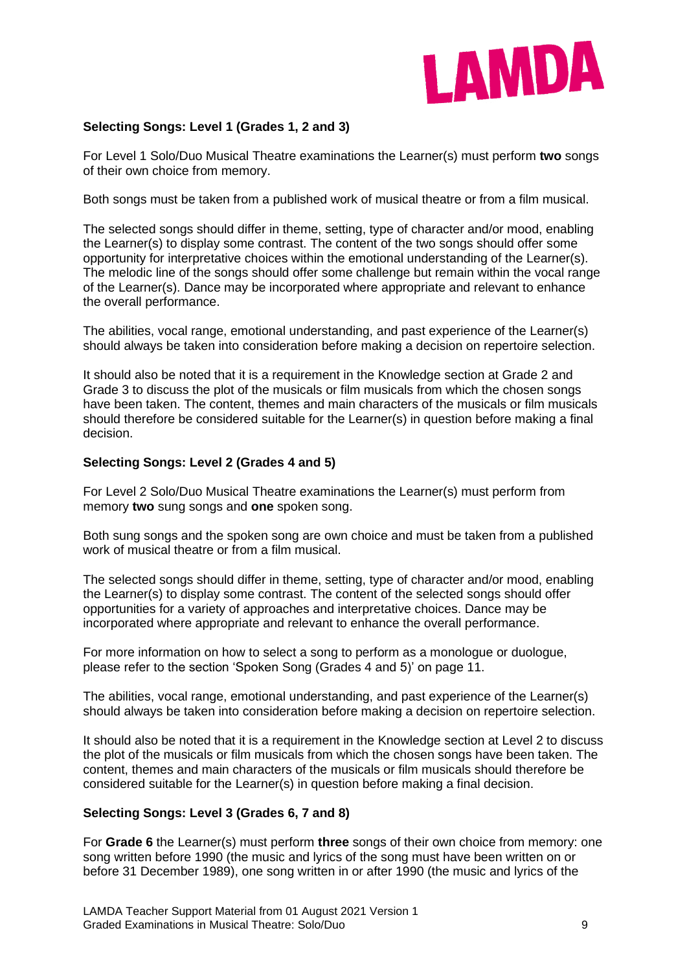

# **Selecting Songs: Level 1 (Grades 1, 2 and 3)**

For Level 1 Solo/Duo Musical Theatre examinations the Learner(s) must perform **two** songs of their own choice from memory.

Both songs must be taken from a published work of musical theatre or from a film musical.

The selected songs should differ in theme, setting, type of character and/or mood, enabling the Learner(s) to display some contrast. The content of the two songs should offer some opportunity for interpretative choices within the emotional understanding of the Learner(s). The melodic line of the songs should offer some challenge but remain within the vocal range of the Learner(s). Dance may be incorporated where appropriate and relevant to enhance the overall performance.

The abilities, vocal range, emotional understanding, and past experience of the Learner(s) should always be taken into consideration before making a decision on repertoire selection.

It should also be noted that it is a requirement in the Knowledge section at Grade 2 and Grade 3 to discuss the plot of the musicals or film musicals from which the chosen songs have been taken. The content, themes and main characters of the musicals or film musicals should therefore be considered suitable for the Learner(s) in question before making a final decision.

# **Selecting Songs: Level 2 (Grades 4 and 5)**

For Level 2 Solo/Duo Musical Theatre examinations the Learner(s) must perform from memory **two** sung songs and **one** spoken song.

Both sung songs and the spoken song are own choice and must be taken from a published work of musical theatre or from a film musical.

The selected songs should differ in theme, setting, type of character and/or mood, enabling the Learner(s) to display some contrast. The content of the selected songs should offer opportunities for a variety of approaches and interpretative choices. Dance may be incorporated where appropriate and relevant to enhance the overall performance.

For more information on how to select a song to perform as a monologue or duologue, please refer to the section 'Spoken Song (Grades 4 and 5)' on page 11.

The abilities, vocal range, emotional understanding, and past experience of the Learner(s) should always be taken into consideration before making a decision on repertoire selection.

It should also be noted that it is a requirement in the Knowledge section at Level 2 to discuss the plot of the musicals or film musicals from which the chosen songs have been taken. The content, themes and main characters of the musicals or film musicals should therefore be considered suitable for the Learner(s) in question before making a final decision.

## **Selecting Songs: Level 3 (Grades 6, 7 and 8)**

For **Grade 6** the Learner(s) must perform **three** songs of their own choice from memory: one song written before 1990 (the music and lyrics of the song must have been written on or before 31 December 1989), one song written in or after 1990 (the music and lyrics of the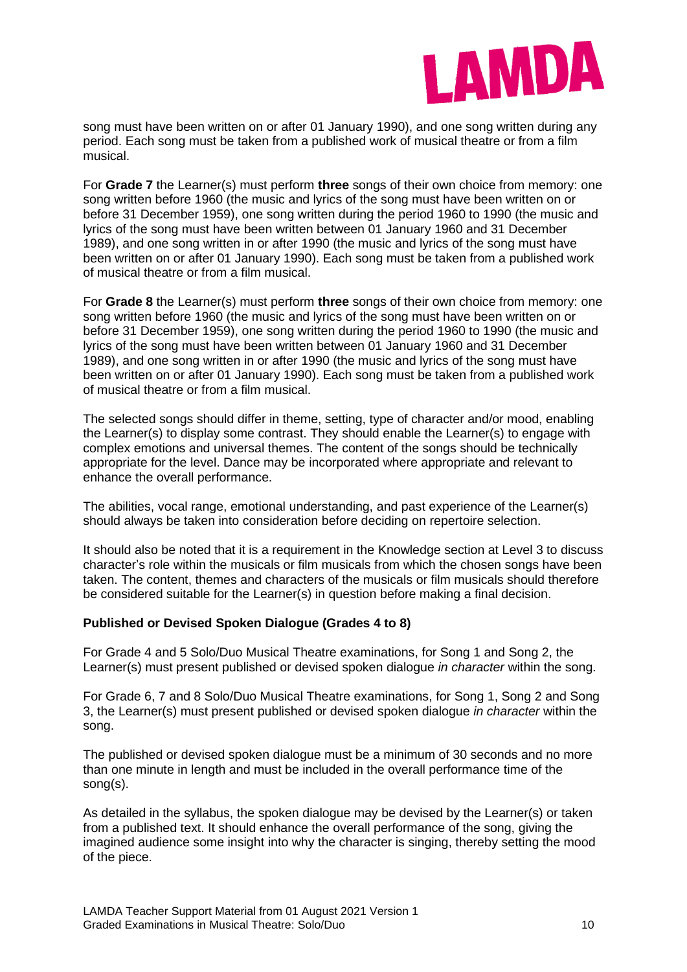

song must have been written on or after 01 January 1990), and one song written during any period. Each song must be taken from a published work of musical theatre or from a film musical.

For **Grade 7** the Learner(s) must perform **three** songs of their own choice from memory: one song written before 1960 (the music and lyrics of the song must have been written on or before 31 December 1959), one song written during the period 1960 to 1990 (the music and lyrics of the song must have been written between 01 January 1960 and 31 December 1989), and one song written in or after 1990 (the music and lyrics of the song must have been written on or after 01 January 1990). Each song must be taken from a published work of musical theatre or from a film musical.

For **Grade 8** the Learner(s) must perform **three** songs of their own choice from memory: one song written before 1960 (the music and lyrics of the song must have been written on or before 31 December 1959), one song written during the period 1960 to 1990 (the music and lyrics of the song must have been written between 01 January 1960 and 31 December 1989), and one song written in or after 1990 (the music and lyrics of the song must have been written on or after 01 January 1990). Each song must be taken from a published work of musical theatre or from a film musical.

The selected songs should differ in theme, setting, type of character and/or mood, enabling the Learner(s) to display some contrast. They should enable the Learner(s) to engage with complex emotions and universal themes. The content of the songs should be technically appropriate for the level. Dance may be incorporated where appropriate and relevant to enhance the overall performance.

The abilities, vocal range, emotional understanding, and past experience of the Learner(s) should always be taken into consideration before deciding on repertoire selection.

It should also be noted that it is a requirement in the Knowledge section at Level 3 to discuss character's role within the musicals or film musicals from which the chosen songs have been taken. The content, themes and characters of the musicals or film musicals should therefore be considered suitable for the Learner(s) in question before making a final decision.

# **Published or Devised Spoken Dialogue (Grades 4 to 8)**

For Grade 4 and 5 Solo/Duo Musical Theatre examinations, for Song 1 and Song 2, the Learner(s) must present published or devised spoken dialogue *in character* within the song.

For Grade 6, 7 and 8 Solo/Duo Musical Theatre examinations, for Song 1, Song 2 and Song 3, the Learner(s) must present published or devised spoken dialogue *in character* within the song.

The published or devised spoken dialogue must be a minimum of 30 seconds and no more than one minute in length and must be included in the overall performance time of the song(s).

As detailed in the syllabus, the spoken dialogue may be devised by the Learner(s) or taken from a published text. It should enhance the overall performance of the song, giving the imagined audience some insight into why the character is singing, thereby setting the mood of the piece.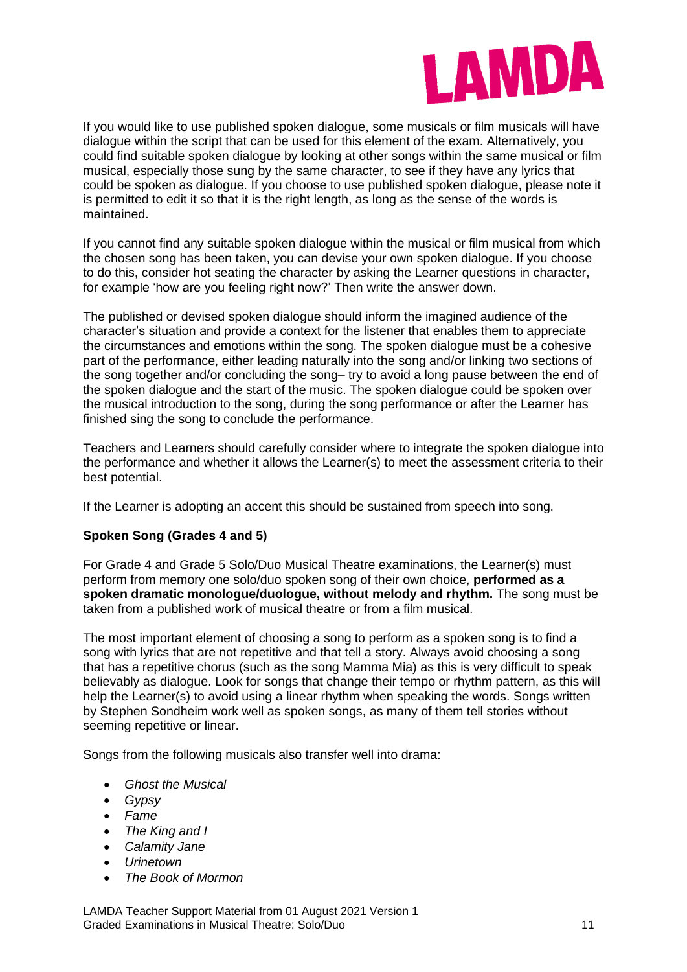

If you would like to use published spoken dialogue, some musicals or film musicals will have dialogue within the script that can be used for this element of the exam. Alternatively, you could find suitable spoken dialogue by looking at other songs within the same musical or film musical, especially those sung by the same character, to see if they have any lyrics that could be spoken as dialogue. If you choose to use published spoken dialogue, please note it is permitted to edit it so that it is the right length, as long as the sense of the words is maintained.

If you cannot find any suitable spoken dialogue within the musical or film musical from which the chosen song has been taken, you can devise your own spoken dialogue. If you choose to do this, consider hot seating the character by asking the Learner questions in character, for example 'how are you feeling right now?' Then write the answer down.

The published or devised spoken dialogue should inform the imagined audience of the character's situation and provide a context for the listener that enables them to appreciate the circumstances and emotions within the song. The spoken dialogue must be a cohesive part of the performance, either leading naturally into the song and/or linking two sections of the song together and/or concluding the song– try to avoid a long pause between the end of the spoken dialogue and the start of the music. The spoken dialogue could be spoken over the musical introduction to the song, during the song performance or after the Learner has finished sing the song to conclude the performance.

Teachers and Learners should carefully consider where to integrate the spoken dialogue into the performance and whether it allows the Learner(s) to meet the assessment criteria to their best potential.

If the Learner is adopting an accent this should be sustained from speech into song.

# **Spoken Song (Grades 4 and 5)**

For Grade 4 and Grade 5 Solo/Duo Musical Theatre examinations, the Learner(s) must perform from memory one solo/duo spoken song of their own choice, **performed as a spoken dramatic monologue/duologue, without melody and rhythm.** The song must be taken from a published work of musical theatre or from a film musical.

The most important element of choosing a song to perform as a spoken song is to find a song with lyrics that are not repetitive and that tell a story. Always avoid choosing a song that has a repetitive chorus (such as the song Mamma Mia) as this is very difficult to speak believably as dialogue. Look for songs that change their tempo or rhythm pattern, as this will help the Learner(s) to avoid using a linear rhythm when speaking the words. Songs written by Stephen Sondheim work well as spoken songs, as many of them tell stories without seeming repetitive or linear.

Songs from the following musicals also transfer well into drama:

- *Ghost the Musical*
- *Gypsy*
- *Fame*
- *The King and I*
- *Calamity Jane*
- *Urinetown*
- *The Book of Mormon*

LAMDA Teacher Support Material from 01 August 2021 Version 1 Graded Examinations in Musical Theatre: Solo/Duo 11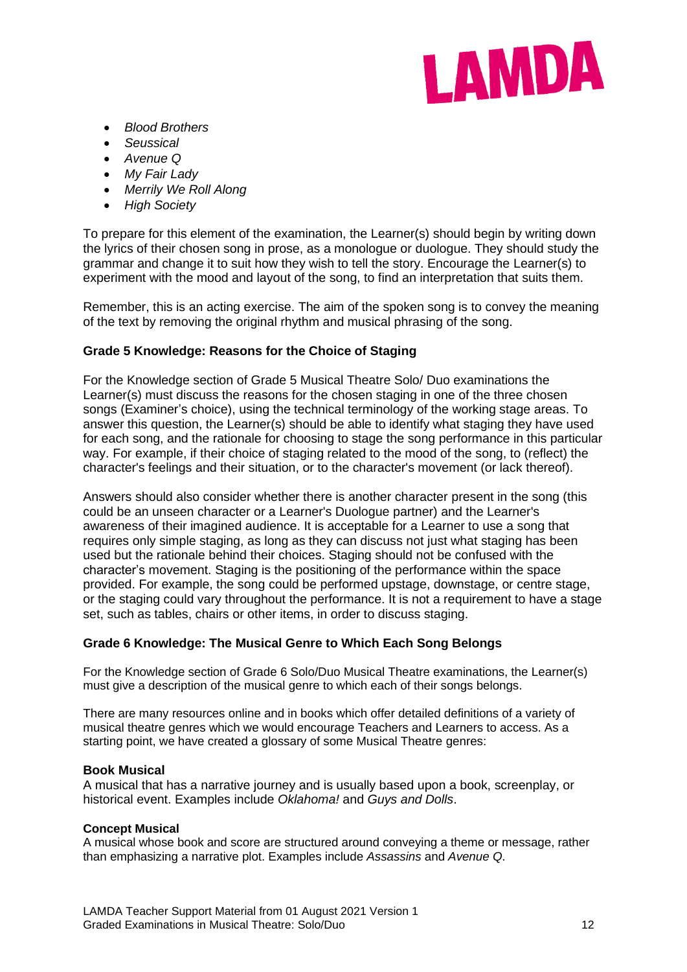

- *Blood Brothers*
- *Seussical*
- *Avenue Q*
- *My Fair Lady*
- *Merrily We Roll Along*
- *High Society*

To prepare for this element of the examination, the Learner(s) should begin by writing down the lyrics of their chosen song in prose, as a monologue or duologue. They should study the grammar and change it to suit how they wish to tell the story. Encourage the Learner(s) to experiment with the mood and layout of the song, to find an interpretation that suits them.

Remember, this is an acting exercise. The aim of the spoken song is to convey the meaning of the text by removing the original rhythm and musical phrasing of the song.

# **Grade 5 Knowledge: Reasons for the Choice of Staging**

For the Knowledge section of Grade 5 Musical Theatre Solo/ Duo examinations the Learner(s) must discuss the reasons for the chosen staging in one of the three chosen songs (Examiner's choice), using the technical terminology of the working stage areas. To answer this question, the Learner(s) should be able to identify what staging they have used for each song, and the rationale for choosing to stage the song performance in this particular way. For example, if their choice of staging related to the mood of the song, to (reflect) the character's feelings and their situation, or to the character's movement (or lack thereof).

Answers should also consider whether there is another character present in the song (this could be an unseen character or a Learner's Duologue partner) and the Learner's awareness of their imagined audience. It is acceptable for a Learner to use a song that requires only simple staging, as long as they can discuss not just what staging has been used but the rationale behind their choices. Staging should not be confused with the character's movement. Staging is the positioning of the performance within the space provided. For example, the song could be performed upstage, downstage, or centre stage, or the staging could vary throughout the performance. It is not a requirement to have a stage set, such as tables, chairs or other items, in order to discuss staging.

# **Grade 6 Knowledge: The Musical Genre to Which Each Song Belongs**

For the Knowledge section of Grade 6 Solo/Duo Musical Theatre examinations, the Learner(s) must give a description of the musical genre to which each of their songs belongs.

There are many resources online and in books which offer detailed definitions of a variety of musical theatre genres which we would encourage Teachers and Learners to access. As a starting point, we have created a glossary of some Musical Theatre genres:

# **Book Musical**

A musical that has a narrative journey and is usually based upon a book, screenplay, or historical event. Examples include *Oklahoma!* and *Guys and Dolls*.

# **Concept Musical**

A musical whose book and score are structured around conveying a theme or message, rather than emphasizing a narrative plot. Examples include *Assassins* and *Avenue Q*.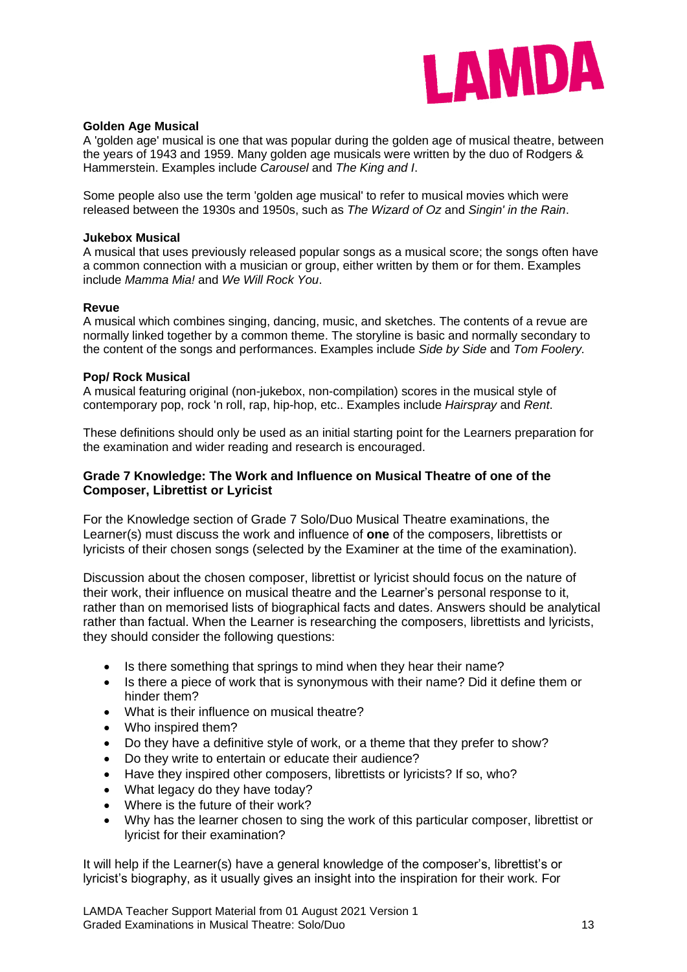

#### **Golden Age Musical**

A 'golden age' musical is one that was popular during the golden age of musical theatre, between the years of 1943 and 1959. Many golden age musicals were written by the duo of Rodgers & Hammerstein. Examples include *Carousel* and *The King and I*.

Some people also use the term 'golden age musical' to refer to musical movies which were released between the 1930s and 1950s, such as *The Wizard of Oz* and *Singin' in the Rain*.

#### **Jukebox Musical**

A musical that uses previously released popular songs as a musical score; the songs often have a common connection with a musician or group, either written by them or for them. Examples include *Mamma Mia!* and *We Will Rock You*.

#### **Revue**

A musical which combines singing, dancing, music, and sketches. The contents of a revue are normally linked together by a common theme. The storyline is basic and normally secondary to the content of the songs and performances. Examples include *Side by Side* and *Tom Foolery.*

#### **Pop/ Rock Musical**

A musical featuring original (non-jukebox, non-compilation) scores in the musical style of contemporary pop, rock 'n roll, rap, hip-hop, etc.. Examples include *Hairspray* and *Rent*.

These definitions should only be used as an initial starting point for the Learners preparation for the examination and wider reading and research is encouraged.

# **Grade 7 Knowledge: The Work and Influence on Musical Theatre of one of the Composer, Librettist or Lyricist**

For the Knowledge section of Grade 7 Solo/Duo Musical Theatre examinations, the Learner(s) must discuss the work and influence of **one** of the composers, librettists or lyricists of their chosen songs (selected by the Examiner at the time of the examination).

Discussion about the chosen composer, librettist or lyricist should focus on the nature of their work, their influence on musical theatre and the Learner's personal response to it, rather than on memorised lists of biographical facts and dates. Answers should be analytical rather than factual. When the Learner is researching the composers, librettists and lyricists, they should consider the following questions:

- Is there something that springs to mind when they hear their name?
- Is there a piece of work that is synonymous with their name? Did it define them or hinder them?
- What is their influence on musical theatre?
- Who inspired them?
- Do they have a definitive style of work, or a theme that they prefer to show?
- Do they write to entertain or educate their audience?
- Have they inspired other composers, librettists or lyricists? If so, who?
- What legacy do they have today?
- Where is the future of their work?
- Why has the learner chosen to sing the work of this particular composer, librettist or lyricist for their examination?

It will help if the Learner(s) have a general knowledge of the composer's, librettist's or lyricist's biography, as it usually gives an insight into the inspiration for their work. For